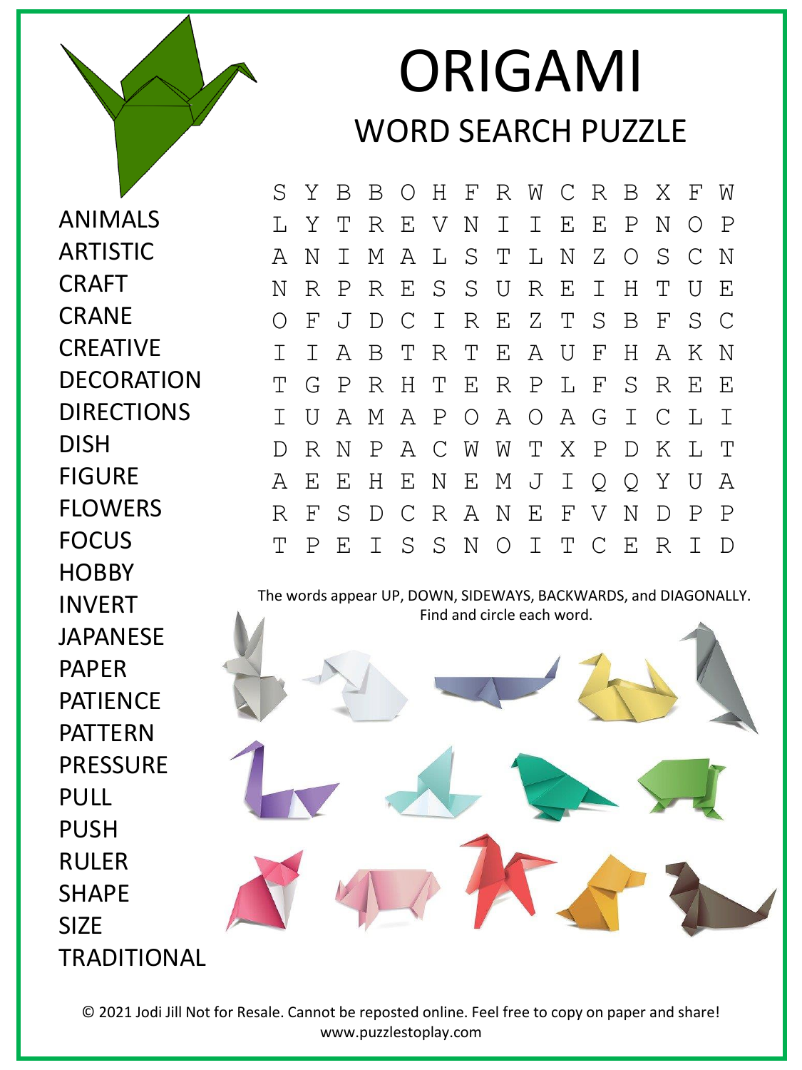## ORIGAMI WORD SEARCH PUZZLE

ANIMALS ARTISTIC CRAFT **CRANE** CREATIVE DECORATION **DIRECTIONS** DISH FIGURE FLOWERS FOCUS **HOBBY** INVERT JAPANESE PAPER PATIENCE PATTERN PRESSURE PULL PUSH RULER SHAPE SIZE **TRADITIONAL**  S Y B B O H F R W C R B X F W L Y T R E V N I I E E P N O P A N I M A L S T L N Z O S C N N R P R E S S U R E I H T U E O F J D C I R E Z T S B F S C I I A B T R T E A U F H A K N T G P R H T E R P L F S R E E I U A M A P O A O A G I C L I D R N P A C W W T X P D K L T A E E H E N E M J I Q Q Y U A R F S D C R A N E F V N D P P T P E I S S N O I T C E R I D

The words appear UP, DOWN, SIDEWAYS, BACKWARDS, and DIAGONALLY. Find and circle each word.

© 2021 Jodi Jill Not for Resale. Cannot be reposted online. Feel free to copy on paper and share! www.puzzlestoplay.com